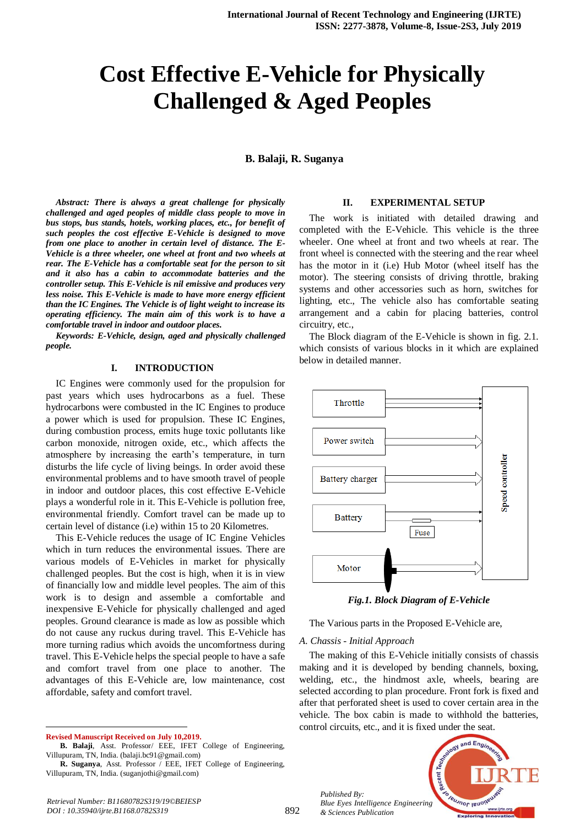# **Cost Effective E-Vehicle for Physically Challenged & Aged Peoples**

**B. Balaji, R. Suganya**

*Abstract: There is always a great challenge for physically challenged and aged peoples of middle class people to move in bus stops, bus stands, hotels, working places, etc., for benefit of such peoples the cost effective E-Vehicle is designed to move from one place to another in certain level of distance. The E-Vehicle is a three wheeler, one wheel at front and two wheels at rear. The E-Vehicle has a comfortable seat for the person to sit and it also has a cabin to accommodate batteries and the controller setup. This E-Vehicle is nil emissive and produces very less noise. This E-Vehicle is made to have more energy efficient than the IC Engines. The Vehicle is of light weight to increase its operating efficiency. The main aim of this work is to have a comfortable travel in indoor and outdoor places.*

*Keywords: E-Vehicle, design, aged and physically challenged people.*

#### **I. INTRODUCTION**

IC Engines were commonly used for the propulsion for past years which uses hydrocarbons as a fuel. These hydrocarbons were combusted in the IC Engines to produce a power which is used for propulsion. These IC Engines, during combustion process, emits huge toxic pollutants like carbon monoxide, nitrogen oxide, etc., which affects the atmosphere by increasing the earth's temperature, in turn disturbs the life cycle of living beings. In order avoid these environmental problems and to have smooth travel of people in indoor and outdoor places, this cost effective E-Vehicle plays a wonderful role in it. This E-Vehicle is pollution free, environmental friendly. Comfort travel can be made up to certain level of distance (i.e) within 15 to 20 Kilometres.

This E-Vehicle reduces the usage of IC Engine Vehicles which in turn reduces the environmental issues. There are various models of E-Vehicles in market for physically challenged peoples. But the cost is high, when it is in view of financially low and middle level peoples. The aim of this work is to design and assemble a comfortable and inexpensive E-Vehicle for physically challenged and aged peoples. Ground clearance is made as low as possible which do not cause any ruckus during travel. This E-Vehicle has more turning radius which avoids the uncomfortness during travel. This E-Vehicle helps the special people to have a safe and comfort travel from one place to another. The advantages of this E-Vehicle are, low maintenance, cost affordable, safety and comfort travel.

**Revised Manuscript Received on July 10,2019.**

 $\overline{a}$ 

#### **II. EXPERIMENTAL SETUP**

The work is initiated with detailed drawing and completed with the E-Vehicle. This vehicle is the three wheeler. One wheel at front and two wheels at rear. The front wheel is connected with the steering and the rear wheel has the motor in it (i.e) Hub Motor (wheel itself has the motor). The steering consists of driving throttle, braking systems and other accessories such as horn, switches for lighting, etc., The vehicle also has comfortable seating arrangement and a cabin for placing batteries, control circuitry, etc.,

The Block diagram of the E-Vehicle is shown in fig. 2.1. which consists of various blocks in it which are explained below in detailed manner.



*Fig.1. Block Diagram of E-Vehicle*

The Various parts in the Proposed E-Vehicle are,

*A. Chassis - Initial Approach*

The making of this E-Vehicle initially consists of chassis making and it is developed by bending channels, boxing, welding, etc., the hindmost axle, wheels, bearing are selected according to plan procedure. Front fork is fixed and after that perforated sheet is used to cover certain area in the vehicle. The box cabin is made to withhold the batteries, control circuits, etc., and it is fixed under the seat.



*Published By: Blue Eyes Intelligence Engineering & Sciences Publication* 

**B. Balaji**, Asst. Professor/ EEE, IFET College of Engineering, Villupuram, TN, India. (balaji.bc91@gmail.com)

**R. Suganya**, Asst. Professor / EEE, IFET College of Engineering, Villupuram, TN, India. (suganjothi@gmail.com)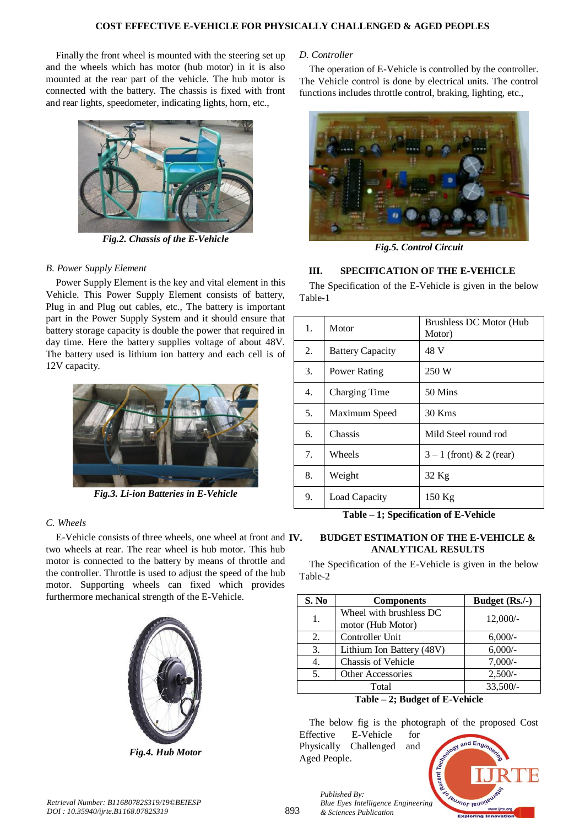Finally the front wheel is mounted with the steering set up and the wheels which has motor (hub motor) in it is also mounted at the rear part of the vehicle. The hub motor is connected with the battery. The chassis is fixed with front and rear lights, speedometer, indicating lights, horn, etc.,



*Fig.2. Chassis of the E-Vehicle*

### *B. Power Supply Element*

Power Supply Element is the key and vital element in this Vehicle. This Power Supply Element consists of battery, Plug in and Plug out cables, etc., The battery is important part in the Power Supply System and it should ensure that battery storage capacity is double the power that required in day time. Here the battery supplies voltage of about 48V. The battery used is lithium ion battery and each cell is of 12V capacity.



*Fig.3. Li-ion Batteries in E-Vehicle*

# *C. Wheels*

E-Vehicle consists of three wheels, one wheel at front and **IV**. two wheels at rear. The rear wheel is hub motor. This hub motor is connected to the battery by means of throttle and the controller. Throttle is used to adjust the speed of the hub motor. Supporting wheels can fixed which provides furthermore mechanical strength of the E-Vehicle.



*Fig.4. Hub Motor*

#### *D. Controller*

The operation of E-Vehicle is controlled by the controller. The Vehicle control is done by electrical units. The control functions includes throttle control, braking, lighting, etc.,



*Fig.5. Control Circuit*

## **III. SPECIFICATION OF THE E-VEHICLE**

The Specification of the E-Vehicle is given in the below Table-1

| 1. | Motor                   | Brushless DC Motor (Hub)<br>Motor) |
|----|-------------------------|------------------------------------|
| 2. | <b>Battery Capacity</b> | 48 V                               |
| 3. | Power Rating            | 250 W                              |
| 4. | Charging Time           | 50 Mins                            |
| 5. | Maximum Speed           | $30$ Kms                           |
| 6. | Chassis                 | Mild Steel round rod               |
| 7. | Wheels                  | $3-1$ (front) & 2 (rear)           |
| 8. | Weight                  | 32 Kg                              |
| 9. | Load Capacity           | 150 Kg                             |

**Table – 1; Specification of E-Vehicle**

### **IV. BUDGET ESTIMATION OF THE E-VEHICLE & ANALYTICAL RESULTS**

The Specification of the E-Vehicle is given in the below Table-2

| S. No | <b>Components</b>         | Budget (Rs./-) |  |
|-------|---------------------------|----------------|--|
| 1.    | Wheel with brushless DC   | $12,000/-$     |  |
|       | motor (Hub Motor)         |                |  |
| 2.    | Controller Unit           | $6,000/-$      |  |
| 3.    | Lithium Ion Battery (48V) | $6,000/-$      |  |
| 4.    | <b>Chassis of Vehicle</b> | $7,000/-$      |  |
| 5.    | Other Accessories         | $2,500/-$      |  |
| Total |                           | $33,500/-$     |  |

**Table – 2; Budget of E-Vehicle**

The below fig is the photograph of the proposed Cost Effective E-Vehicle for

Physically Challenged and Aged People.

*Published By:*

*& Sciences Publication*